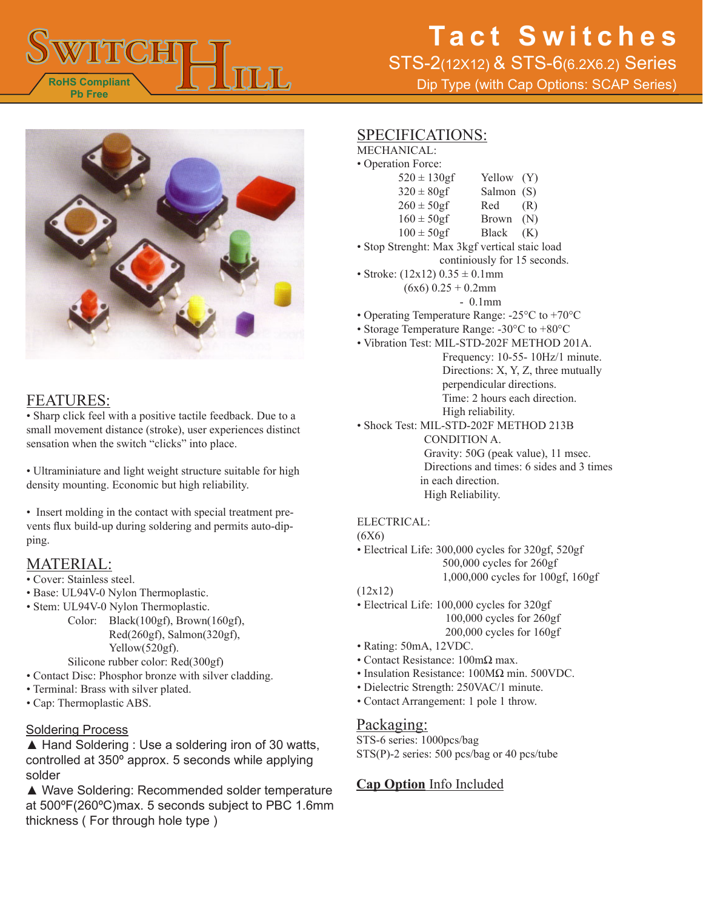

STS-2(12X12) & STS-6(6.2X6.2) Series

Dip Type (with Cap Options: SCAP Series)



### FEATURES:

• Sharp click feel with a positive tactile feedback. Due to a small movement distance (stroke), user experiences distinct sensation when the switch "clicks" into place.

• Ultraminiature and light weight structure suitable for high density mounting. Economic but high reliability.

• Insert molding in the contact with special treatment prevents flux build-up during soldering and permits auto-dipping.

### MATERIAL:

- Cover: Stainless steel.
- Base: UL94V-0 Nylon Thermoplastic.
- Stem: UL94V-0 Nylon Thermoplastic.
	- Color: Black(100gf), Brown(160gf), Red(260gf), Salmon(320gf), Yellow(520gf). Silicone rubber color: Red(300gf)
- Contact Disc: Phosphor bronze with silver cladding.
- Terminal: Brass with silver plated.
- Cap: Thermoplastic ABS.

#### Soldering Process

▲ Hand Soldering : Use a soldering iron of 30 watts, controlled at 350º approx. 5 seconds while applying solder

▲ Wave Soldering: Recommended solder temperature at 500ºF(260ºC)max. 5 seconds subject to PBC 1.6mm thickness ( For through hole type )

### SPECIFICATIONS:

MECHANICAL: • Operati

| ion Force:       |              |     |
|------------------|--------------|-----|
| $520 \pm 130$ gf | Yellow (Y)   |     |
| $320 \pm 80gf$   | Salmon (S)   |     |
| $260 \pm 50$ gf  | Red          | (R) |
| $160 \pm 50gf$   | <b>Brown</b> | (N) |
| $100 \pm 50$ gf  | <b>Black</b> | (K) |

- Stop Strenght: Max 3kgf vertical staic load continiously for 15 seconds.
- Stroke:  $(12x12) 0.35 \pm 0.1$ mm  $(6x6)$  0.25 + 0.2mm
	- 0.1mm
- Operating Temperature Range: -25°C to +70°C
- Storage Temperature Range: -30°C to +80°C
- Vibration Test: MIL-STD-202F METHOD 201A.
	- Frequency: 10-55- 10Hz/1 minute. Directions: X, Y, Z, three mutually perpendicular directions. Time: 2 hours each direction. High reliability.
- Shock Test: MIL-STD-202F METHOD 213B CONDITION A. Gravity: 50G (peak value), 11 msec. Directions and times: 6 sides and 3 times in each direction. High Reliability.

#### ELECTRICAL:

(6X6)

- Electrical Life: 300,000 cycles for 320gf, 520gf 500,000 cycles for 260gf 1,000,000 cycles for 100gf, 160gf
- (12x12)
- Electrical Life: 100,000 cycles for 320gf 100,000 cycles for 260gf 200,000 cycles for 160gf
- Rating: 50mA, 12VDC.
- Contact Resistance: 100mΩ max.
- Insulation Resistance: 100MΩ min. 500VDC.
- Dielectric Strength: 250VAC/1 minute.
- Contact Arrangement: 1 pole 1 throw.

#### Packaging:

STS-6 series: 1000pcs/bag STS(P)-2 series: 500 pcs/bag or 40 pcs/tube

#### **Cap Option** Info Included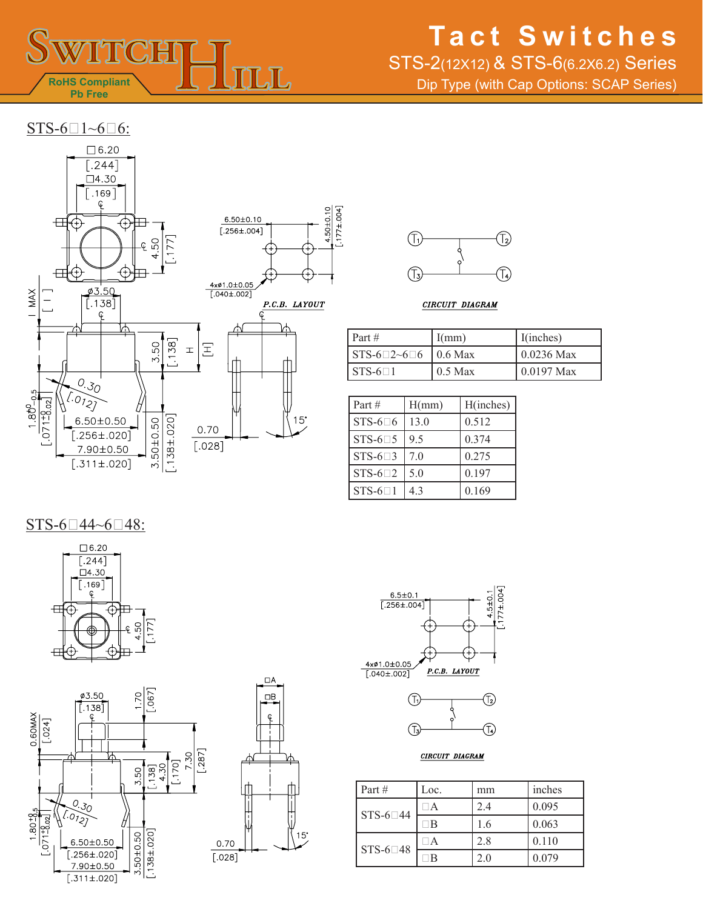

## STS-2(12X12) & STS-6(6.2X6.2) Series

Dip Type (with Cap Options: SCAP Series)







1.50±0.10  $[.177 \pm .004]$ 

CIRCUIT DIAGRAM

| Part $#$                                            | I(mm)     | I(inches)    |
|-----------------------------------------------------|-----------|--------------|
| $\vert$ STS-6 $\vert$ 2~6 $\vert$ 6 $\vert$ 0.6 Max |           | $0.0236$ Max |
| $STS-61$                                            | $0.5$ Max | $0.0197$ Max |

| Part #            | H(mm)          | H(inches) |
|-------------------|----------------|-----------|
| STS-6 $\Box$ 6    | 13.0           | 0.512     |
| $STS-6\square 5$  | 9 <sub>5</sub> | 0.374     |
| $STS-6 \square 3$ | 70             | 0.275     |
| $STS-6-2$         | 5.0            | 0.197     |
| $STS-6=1$         | 43             | 0.169     |

 $STS-6-44~6-48$ :











CIRCUIT DIAGRAM

| Part#           | Loc. | mm  | inches |
|-----------------|------|-----|--------|
| STS-6 $\Box$ 44 | A    | 2.4 | 0.095  |
|                 | B    | 1.6 | 0.063  |
| STS-6 $\Box$ 48 |      | 2.8 | 0.110  |
|                 |      | 20  | 0.079  |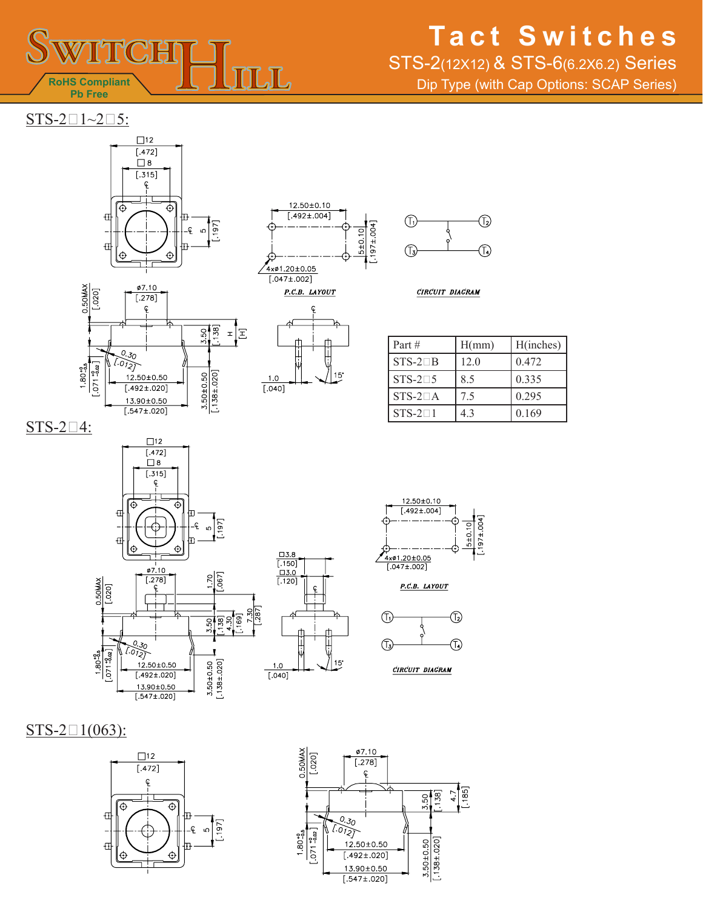

## STS-2(12X12) & STS-6(6.2X6.2) Series

Dip Type (with Cap Options: SCAP Series)

 $STS-2\square1~2\square5$ :







CIRCUIT DIAGRAM





| Part $#$      | H(mm) | H(inches) |
|---------------|-------|-----------|
| $STS-2CB$     | 12.0  | 0.472     |
| $STS-2\Box 5$ | 8.5   | 0.335     |
| $STS-2\Box A$ | 75    | 0.295     |
| $STS-21$      | 43    | 0.169     |

 $STS-2\square 4$ :









CIRCUIT DIAGRAM

 $STS-21(063)$ :